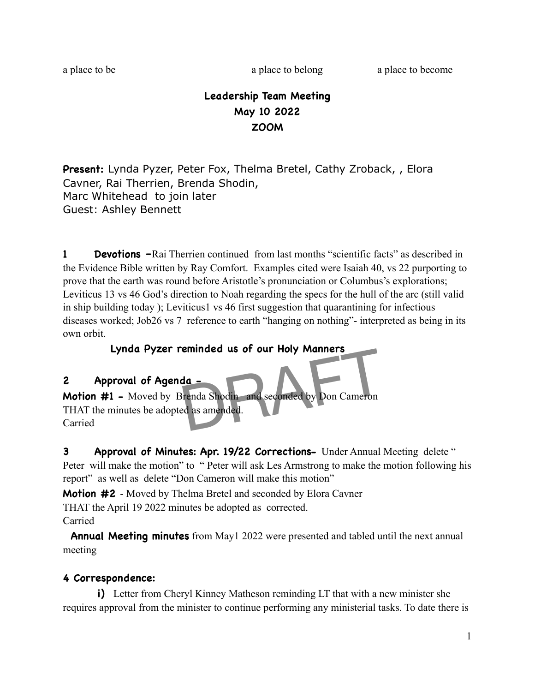a place to be a place to belong a place to become a place to become

# **Leadership Team Meeting May 10 2022 ZOOM**

**Present:** Lynda Pyzer, Peter Fox, Thelma Bretel, Cathy Zroback, , Elora Cavner, Rai Therrien, Brenda Shodin, Marc Whitehead to join later Guest: Ashley Bennett

**1 Devotions** –Rai Therrien continued from last months "scientific facts" as described in the Evidence Bible written by Ray Comfort. Examples cited were Isaiah 40, vs 22 purporting to prove that the earth was round before Aristotle's pronunciation or Columbus's explorations; Leviticus 13 vs 46 God's direction to Noah regarding the specs for the hull of the arc (still valid in ship building today ); Leviticus1 vs 46 first suggestion that quarantining for infectious diseases worked; Job26 vs 7 reference to earth "hanging on nothing"- interpreted as being in its own orbit.

## **Lynda Pyzer reminded us of our Holy Manners**

### **2 Approval of Agenda -**

**Motion #1 -** Moved by Brenda Shodin and seconded by Don Cameron THAT the minutes be adopted as amended. Carried da -<br>Tenda Shodin and seconded by Don Cameron<br>ed as amended.

**3 Approval of Minutes: Apr. 19/22 Corrections-** Under Annual Meeting delete " Peter will make the motion" to " Peter will ask Les Armstrong to make the motion following his report" as well as delete "Don Cameron will make this motion"

**Motion #2** - Moved by Thelma Bretel and seconded by Elora Cavner THAT the April 19 2022 minutes be adopted as corrected.

Carried

 **Annual Meeting minutes** from May1 2022 were presented and tabled until the next annual meeting

### **4 Correspondence:**

**i)** Letter from Cheryl Kinney Matheson reminding LT that with a new minister she requires approval from the minister to continue performing any ministerial tasks. To date there is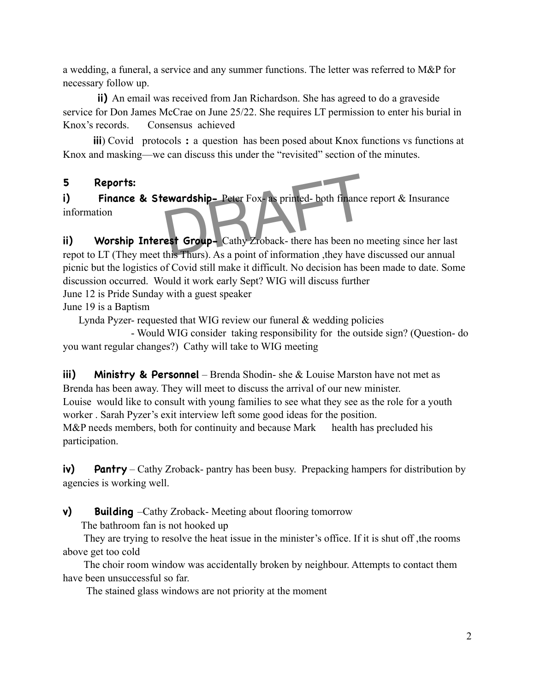a wedding, a funeral, a service and any summer functions. The letter was referred to M&P for necessary follow up.

 **ii)** An email was received from Jan Richardson. She has agreed to do a graveside service for Don James McCrae on June 25/22. She requires LT permission to enter his burial in Knox's records. Consensus achieved

**iii**) Covid protocols: a question has been posed about Knox functions vs functions at Knox and masking—we can discuss this under the "revisited" section of the minutes.

#### **5 Reports:**

**i)** Finance & Stewardship- Peter Fox- as printed- both finance report & Insurance information Example 2018 Peter Fox-as printed- both finance

**ii)** Worship Interest Group- Cathy Zroback- there has been no meeting since her last repot to LT (They meet this Thurs). As a point of information ,they have discussed our annual picnic but the logistics of Covid still make it difficult. No decision has been made to date. Some discussion occurred. Would it work early Sept? WIG will discuss further

June 12 is Pride Sunday with a guest speaker

June 19 is a Baptism

Lynda Pyzer- requested that WIG review our funeral & wedding policies

 - Would WIG consider taking responsibility for the outside sign? (Question- do you want regular changes?) Cathy will take to WIG meeting

**iii)** Ministry & Personnel – Brenda Shodin- she & Louise Marston have not met as Brenda has been away. They will meet to discuss the arrival of our new minister. Louise would like to consult with young families to see what they see as the role for a youth worker . Sarah Pyzer's exit interview left some good ideas for the position. M&P needs members, both for continuity and because Mark health has precluded his participation.

**iv)** Pantry – Cathy Zroback- pantry has been busy. Prepacking hampers for distribution by agencies is working well.

**v)** Building –Cathy Zroback- Meeting about flooring tomorrow

The bathroom fan is not hooked up

 They are trying to resolve the heat issue in the minister's office. If it is shut off ,the rooms above get too cold

 The choir room window was accidentally broken by neighbour. Attempts to contact them have been unsuccessful so far.

The stained glass windows are not priority at the moment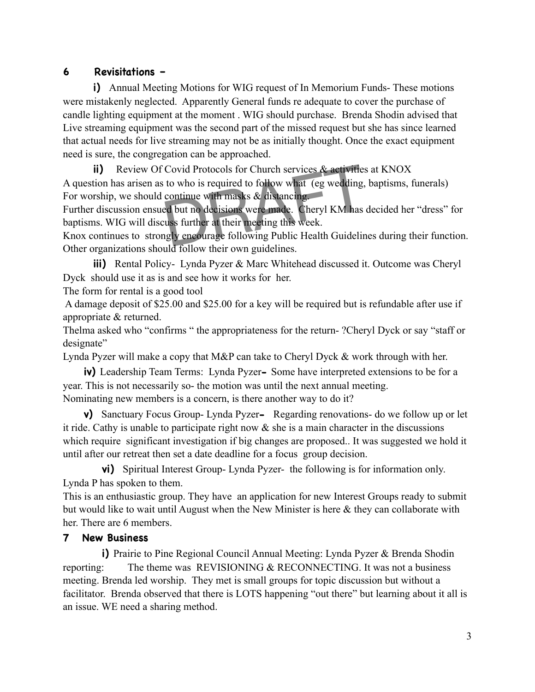### **6 Revisitations –**

**i)** Annual Meeting Motions for WIG request of In Memorium Funds-These motions were mistakenly neglected. Apparently General funds re adequate to cover the purchase of candle lighting equipment at the moment . WIG should purchase. Brenda Shodin advised that Live streaming equipment was the second part of the missed request but she has since learned that actual needs for live streaming may not be as initially thought. Once the exact equipment need is sure, the congregation can be approached.

**ii)** Review Of Covid Protocols for Church services & activities at KNOX A question has arisen as to who is required to follow what (eg wedding, baptisms, funerals) For worship, we should continue with masks & distancing. Covid Protocols for Church services & activities<br>to who is required to follow what (eg wedding,<br>continue with masks & distancing.<br>Encourage to the meeting this week.<br>us further at their meeting this week.<br>gly encourage fol

Further discussion ensued but no decisions were made. Cheryl KM has decided her "dress" for baptisms. WIG will discuss further at their meeting this week.

Knox continues to strongly encourage following Public Health Guidelines during their function. Other organizations should follow their own guidelines.

**iii)** Rental Policy- Lynda Pyzer & Marc Whitehead discussed it. Outcome was Cheryl Dyck should use it as is and see how it works for her.

The form for rental is a good tool

 A damage deposit of \$25.00 and \$25.00 for a key will be required but is refundable after use if appropriate & returned.

Thelma asked who "confirms " the appropriateness for the return- ?Cheryl Dyck or say "staff or designate"

Lynda Pyzer will make a copy that M&P can take to Cheryl Dyck & work through with her.

 **iv)** Leadership Team Terms: Lynda Pyzer**-** Some have interpreted extensions to be for a year. This is not necessarily so- the motion was until the next annual meeting. Nominating new members is a concern, is there another way to do it?

 **v)** Sanctuary Focus Group- Lynda Pyzer**-** Regarding renovations- do we follow up or let it ride. Cathy is unable to participate right now  $\&$  she is a main character in the discussions which require significant investigation if big changes are proposed.. It was suggested we hold it until after our retreat then set a date deadline for a focus group decision.

 **vi)** Spiritual Interest Group- Lynda Pyzer- the following is for information only. Lynda P has spoken to them.

This is an enthusiastic group. They have an application for new Interest Groups ready to submit but would like to wait until August when the New Minister is here & they can collaborate with her. There are 6 members.

### **7 New Business**

**i)** Prairie to Pine Regional Council Annual Meeting: Lynda Pyzer & Brenda Shodin reporting: The theme was REVISIONING & RECONNECTING. It was not a business meeting. Brenda led worship. They met is small groups for topic discussion but without a facilitator. Brenda observed that there is LOTS happening "out there" but learning about it all is an issue. WE need a sharing method.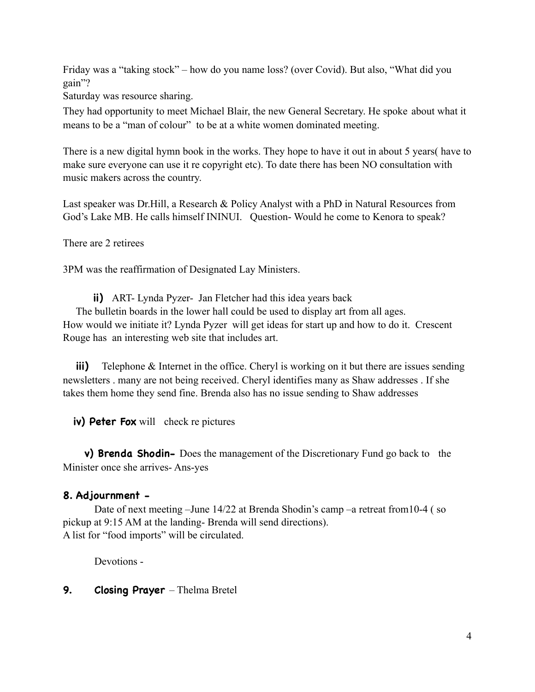Friday was a "taking stock" – how do you name loss? (over Covid). But also, "What did you gain"?

Saturday was resource sharing.

They had opportunity to meet Michael Blair, the new General Secretary. He spoke about what it means to be a "man of colour" to be at a white women dominated meeting.

There is a new digital hymn book in the works. They hope to have it out in about 5 years( have to make sure everyone can use it re copyright etc). To date there has been NO consultation with music makers across the country.

Last speaker was Dr.Hill, a Research & Policy Analyst with a PhD in Natural Resources from God's Lake MB. He calls himself ININUI. Question- Would he come to Kenora to speak?

There are 2 retirees

3PM was the reaffirmation of Designated Lay Ministers.

**ii)** ART- Lynda Pyzer- Jan Fletcher had this idea years back

 The bulletin boards in the lower hall could be used to display art from all ages. How would we initiate it? Lynda Pyzer will get ideas for start up and how to do it. Crescent Rouge has an interesting web site that includes art.

**iii)** Telephone & Internet in the office. Cheryl is working on it but there are issues sending newsletters . many are not being received. Cheryl identifies many as Shaw addresses . If she takes them home they send fine. Brenda also has no issue sending to Shaw addresses

**iv) Peter Fox** will check re pictures

 **v) Brenda Shodin-** Does the management of the Discretionary Fund go back tothe Minister once she arrives- Ans-yes

#### **8. Adjournment -**

 Date of next meeting –June 14/22 at Brenda Shodin's camp –a retreat from10-4 ( so pickup at 9:15 AM at the landing- Brenda will send directions). A list for "food imports" will be circulated.

Devotions -

#### **9.** Closing Prayer – Thelma Bretel